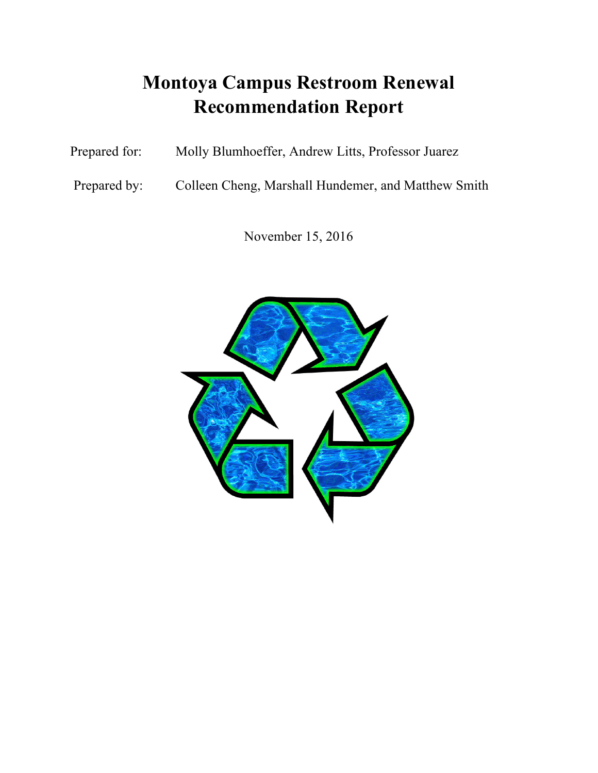# **Montoya Campus Restroom Renewal Recommendation Report**

Prepared for: Molly Blumhoeffer, Andrew Litts, Professor Juarez

Prepared by: Colleen Cheng, Marshall Hundemer, and Matthew Smith

November 15, 2016

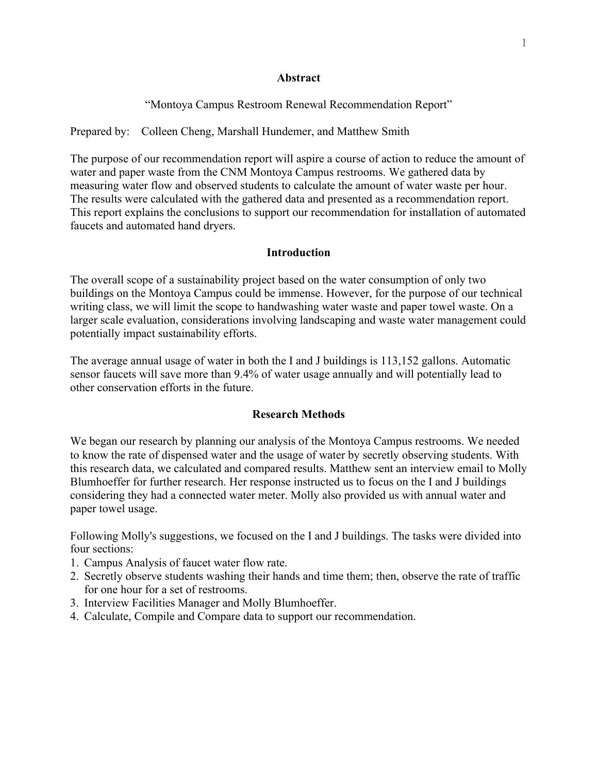## **Abstract**

"Montoya Campus Restroom Renewal Recommendation Report"

Prepared by: Colleen Cheng, Marshall Hundemer, and Matthew Smith

The purpose of our recommendation report will aspire a course of action to reduce the amount of water and paper waste from the CNM Montoya Campus restrooms. We gathered data by measuring water flow and observed students to calculate the amount of water waste per hour. The results were calculated with the gathered data and presented as a recommendation report. This report explains the conclusions to support our recommendation for installation of automated faucets and automated hand dryers.

# **Introduction**

The overall scope of a sustainability project based on the water consumption of only two buildings on the Montoya Campus could be immense. However, for the purpose of our technical writing class, we will limit the scope to handwashing water waste and paper towel waste. On a larger scale evaluation, considerations involving landscaping and waste water management could potentially impact sustainability efforts.

The average annual usage of water in both the I and J buildings is 113,152 gallons. Automatic sensor faucets will save more than 9.4% of water usage annually and will potentially lead to other conservation efforts in the future.

# **Research Methods**

We began our research by planning our analysis of the Montoya Campus restrooms. We needed to know the rate of dispensed water and the usage of water by secretly observing students. With this research data, we calculated and compared results. Matthew sent an interview email to Molly Blumhoeffer for further research. Her response instructed us to focus on the I and J buildings considering they had a connected water meter. Molly also provided us with annual water and paper towel usage.

Following Molly's suggestions, we focused on the I and J buildings. The tasks were divided into four sections:

- 1. Campus Analysis of faucet water flow rate.
- 2. Secretly observe students washing their hands and time them; then, observe the rate of traffic for one hour for a set of restrooms.
- 3. Interview Facilities Manager and Molly Blumhoeffer.
- 4. Calculate, Compile and Compare data to support our recommendation.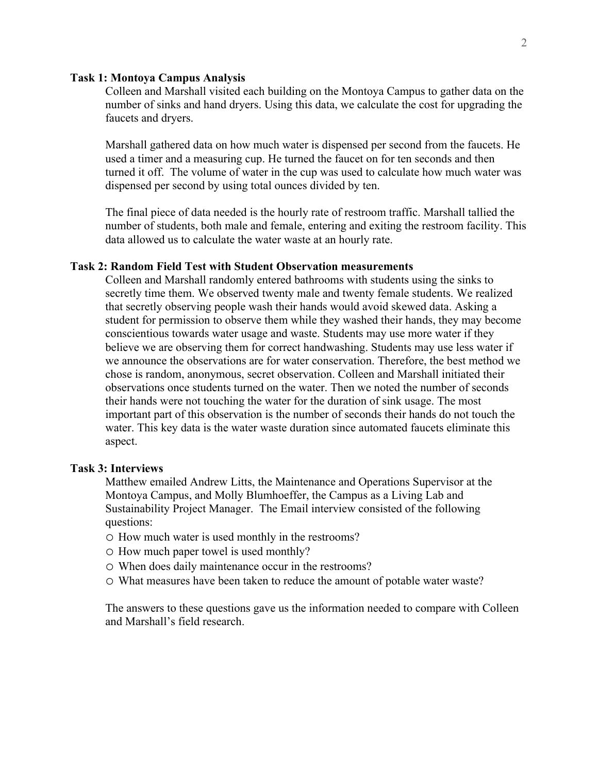#### **Task 1: Montoya Campus Analysis**

Colleen and Marshall visited each building on the Montoya Campus to gather data on the number of sinks and hand dryers. Using this data, we calculate the cost for upgrading the faucets and dryers.

Marshall gathered data on how much water is dispensed per second from the faucets. He used a timer and a measuring cup. He turned the faucet on for ten seconds and then turned it off. The volume of water in the cup was used to calculate how much water was dispensed per second by using total ounces divided by ten.

The final piece of data needed is the hourly rate of restroom traffic. Marshall tallied the number of students, both male and female, entering and exiting the restroom facility. This data allowed us to calculate the water waste at an hourly rate.

#### **Task 2: Random Field Test with Student Observation measurements**

Colleen and Marshall randomly entered bathrooms with students using the sinks to secretly time them. We observed twenty male and twenty female students. We realized that secretly observing people wash their hands would avoid skewed data. Asking a student for permission to observe them while they washed their hands, they may become conscientious towards water usage and waste. Students may use more water if they believe we are observing them for correct handwashing. Students may use less water if we announce the observations are for water conservation. Therefore, the best method we chose is random, anonymous, secret observation. Colleen and Marshall initiated their observations once students turned on the water. Then we noted the number of seconds their hands were not touching the water for the duration of sink usage. The most important part of this observation is the number of seconds their hands do not touch the water. This key data is the water waste duration since automated faucets eliminate this aspect.

## **Task 3: Interviews**

Matthew emailed Andrew Litts, the Maintenance and Operations Supervisor at the Montoya Campus, and Molly Blumhoeffer, the Campus as a Living Lab and Sustainability Project Manager. The Email interview consisted of the following questions:

- o How much water is used monthly in the restrooms?
- o How much paper towel is used monthly?
- o When does daily maintenance occur in the restrooms?
- o What measures have been taken to reduce the amount of potable water waste?

The answers to these questions gave us the information needed to compare with Colleen and Marshall's field research.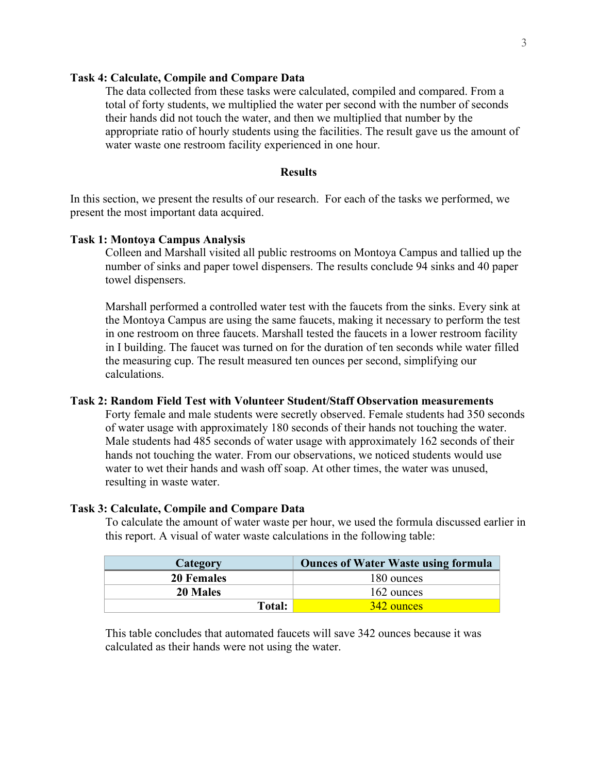## **Task 4: Calculate, Compile and Compare Data**

The data collected from these tasks were calculated, compiled and compared. From a total of forty students, we multiplied the water per second with the number of seconds their hands did not touch the water, and then we multiplied that number by the appropriate ratio of hourly students using the facilities. The result gave us the amount of water waste one restroom facility experienced in one hour.

# **Results**

In this section, we present the results of our research. For each of the tasks we performed, we present the most important data acquired.

#### **Task 1: Montoya Campus Analysis**

Colleen and Marshall visited all public restrooms on Montoya Campus and tallied up the number of sinks and paper towel dispensers. The results conclude 94 sinks and 40 paper towel dispensers.

Marshall performed a controlled water test with the faucets from the sinks. Every sink at the Montoya Campus are using the same faucets, making it necessary to perform the test in one restroom on three faucets. Marshall tested the faucets in a lower restroom facility in I building. The faucet was turned on for the duration of ten seconds while water filled the measuring cup. The result measured ten ounces per second, simplifying our calculations.

### **Task 2: Random Field Test with Volunteer Student/Staff Observation measurements**

Forty female and male students were secretly observed. Female students had 350 seconds of water usage with approximately 180 seconds of their hands not touching the water. Male students had 485 seconds of water usage with approximately 162 seconds of their hands not touching the water. From our observations, we noticed students would use water to wet their hands and wash off soap. At other times, the water was unused, resulting in waste water.

#### **Task 3: Calculate, Compile and Compare Data**

To calculate the amount of water waste per hour, we used the formula discussed earlier in this report. A visual of water waste calculations in the following table:

| Category          | <b>Ounces of Water Waste using formula</b> |
|-------------------|--------------------------------------------|
| <b>20 Females</b> | 180 ounces                                 |
| <b>20 Males</b>   | 162 ounces                                 |
| Total:            | 342 ounces                                 |

This table concludes that automated faucets will save 342 ounces because it was calculated as their hands were not using the water.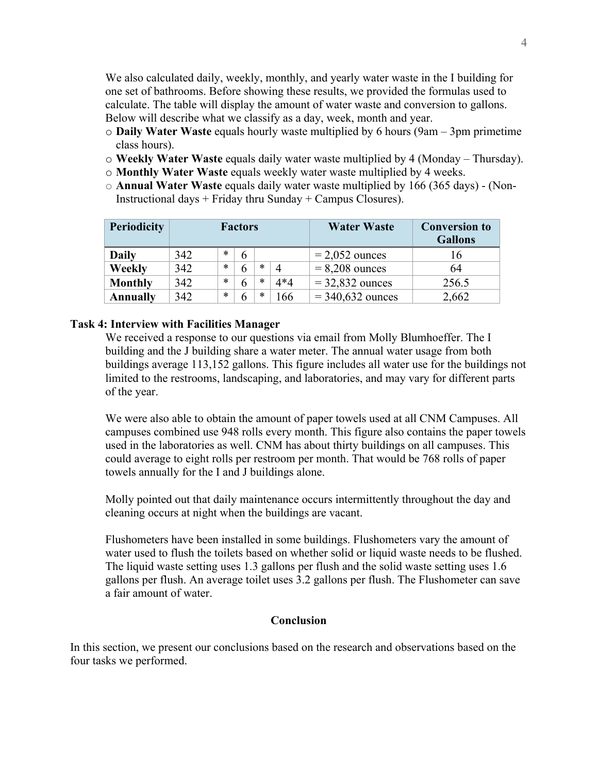We also calculated daily, weekly, monthly, and yearly water waste in the I building for one set of bathrooms. Before showing these results, we provided the formulas used to calculate. The table will display the amount of water waste and conversion to gallons. Below will describe what we classify as a day, week, month and year.

- o **Daily Water Waste** equals hourly waste multiplied by 6 hours (9am 3pm primetime class hours).
- o **Weekly Water Waste** equals daily water waste multiplied by 4 (Monday Thursday).
- o **Monthly Water Waste** equals weekly water waste multiplied by 4 weeks.
- o **Annual Water Waste** equals daily water waste multiplied by 166 (365 days) (Non-Instructional days  $+$  Friday thru Sunday  $+$  Campus Closures).

| <b>Periodicity</b> | <b>Factors</b> |        |   |   | <b>Water Waste</b>       | <b>Conversion to</b><br><b>Gallons</b> |       |
|--------------------|----------------|--------|---|---|--------------------------|----------------------------------------|-------|
| Daily              | 342            | $\ast$ | 6 |   |                          | $= 2,052$ ounces                       | 16    |
| <b>Weekly</b>      | 342            | $\ast$ | 6 | * | $\boldsymbol{\varDelta}$ | $= 8,208$ ounces                       | 64    |
| <b>Monthly</b>     | 342            | $\ast$ | 6 | * | 4*4                      | $=$ 32,832 ounces                      | 256.5 |
| <b>Annually</b>    | 342            | $\ast$ | 6 | * | 166                      | $= 340,632$ ounces                     | 2,662 |

# **Task 4: Interview with Facilities Manager**

We received a response to our questions via email from Molly Blumhoeffer. The I building and the J building share a water meter. The annual water usage from both buildings average 113,152 gallons. This figure includes all water use for the buildings not limited to the restrooms, landscaping, and laboratories, and may vary for different parts of the year.

We were also able to obtain the amount of paper towels used at all CNM Campuses. All campuses combined use 948 rolls every month. This figure also contains the paper towels used in the laboratories as well. CNM has about thirty buildings on all campuses. This could average to eight rolls per restroom per month. That would be 768 rolls of paper towels annually for the I and J buildings alone.

Molly pointed out that daily maintenance occurs intermittently throughout the day and cleaning occurs at night when the buildings are vacant.

Flushometers have been installed in some buildings. Flushometers vary the amount of water used to flush the toilets based on whether solid or liquid waste needs to be flushed. The liquid waste setting uses 1.3 gallons per flush and the solid waste setting uses 1.6 gallons per flush. An average toilet uses 3.2 gallons per flush. The Flushometer can save a fair amount of water.

## **Conclusion**

In this section, we present our conclusions based on the research and observations based on the four tasks we performed.